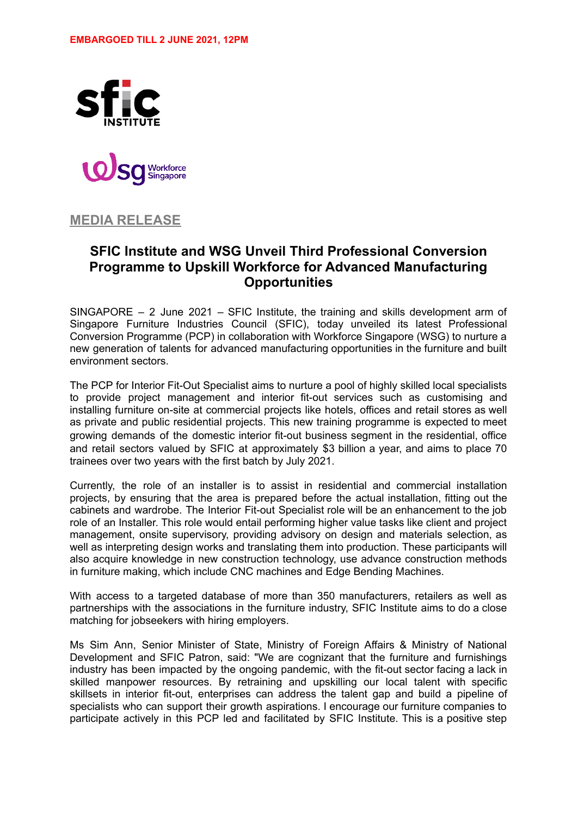



**MEDIA RELEASE**

# **SFIC Institute and WSG Unveil Third Professional Conversion Programme to Upskill Workforce for Advanced Manufacturing Opportunities**

SINGAPORE – 2 June 2021 – SFIC Institute, the training and skills development arm of Singapore Furniture Industries Council (SFIC), today unveiled its latest Professional Conversion Programme (PCP) in collaboration with Workforce Singapore (WSG) to nurture a new generation of talents for advanced manufacturing opportunities in the furniture and built environment sectors.

The PCP for Interior Fit-Out Specialist aims to nurture a pool of highly skilled local specialists to provide project management and interior fit-out services such as customising and installing furniture on-site at commercial projects like hotels, offices and retail stores as well as private and public residential projects. This new training programme is expected to meet growing demands of the domestic interior fit-out business segment in the residential, office and retail sectors valued by SFIC at approximately \$3 billion a year, and aims to place 70 trainees over two years with the first batch by July 2021.

Currently, the role of an installer is to assist in residential and commercial installation projects, by ensuring that the area is prepared before the actual installation, fitting out the cabinets and wardrobe. The Interior Fit-out Specialist role will be an enhancement to the job role of an Installer. This role would entail performing higher value tasks like client and project management, onsite supervisory, providing advisory on design and materials selection, as well as interpreting design works and translating them into production. These participants will also acquire knowledge in new construction technology, use advance construction methods in furniture making, which include CNC machines and Edge Bending Machines.

With access to a targeted database of more than 350 manufacturers, retailers as well as partnerships with the associations in the furniture industry, SFIC Institute aims to do a close matching for jobseekers with hiring employers.

Ms Sim Ann, Senior Minister of State, Ministry of Foreign Affairs & Ministry of National Development and SFIC Patron, said: "We are cognizant that the furniture and furnishings industry has been impacted by the ongoing pandemic, with the fit-out sector facing a lack in skilled manpower resources. By retraining and upskilling our local talent with specific skillsets in interior fit-out, enterprises can address the talent gap and build a pipeline of specialists who can support their growth aspirations. I encourage our furniture companies to participate actively in this PCP led and facilitated by SFIC Institute. This is a positive step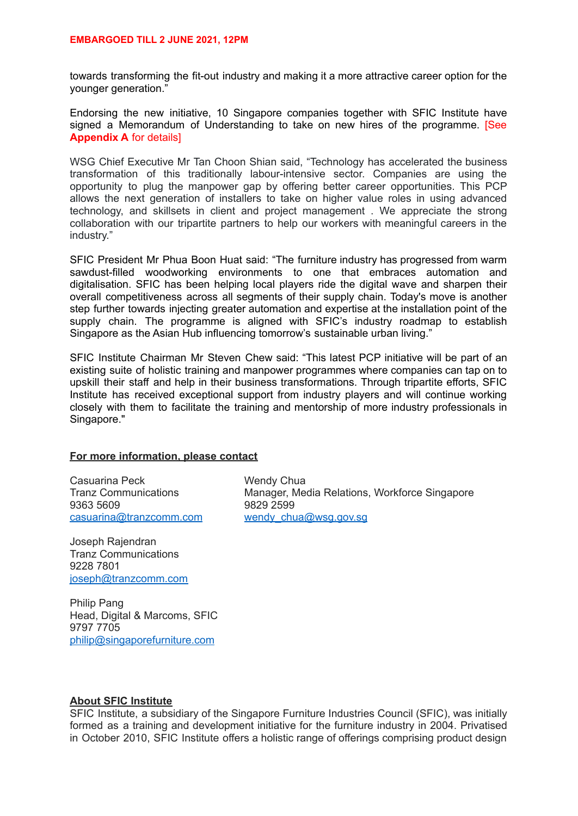towards transforming the fit-out industry and making it a more attractive career option for the younger generation."

Endorsing the new initiative, 10 Singapore companies together with SFIC Institute have signed a Memorandum of Understanding to take on new hires of the programme. [See **Appendix A** for details]

WSG Chief Executive Mr Tan Choon Shian said, "Technology has accelerated the business transformation of this traditionally labour-intensive sector. Companies are using the opportunity to plug the manpower gap by offering better career opportunities. This PCP allows the next generation of installers to take on higher value roles in using advanced technology, and skillsets in client and project management . We appreciate the strong collaboration with our tripartite partners to help our workers with meaningful careers in the industry."

SFIC President Mr Phua Boon Huat said: "The furniture industry has progressed from warm sawdust-filled woodworking environments to one that embraces automation and digitalisation. SFIC has been helping local players ride the digital wave and sharpen their overall competitiveness across all segments of their supply chain. Today's move is another step further towards injecting greater automation and expertise at the installation point of the supply chain. The programme is aligned with SFIC's industry roadmap to establish Singapore as the Asian Hub influencing tomorrow's sustainable urban living."

SFIC Institute Chairman Mr Steven Chew said: "This latest PCP initiative will be part of an existing suite of holistic training and manpower programmes where companies can tap on to upskill their staff and help in their business transformations. Through tripartite efforts, SFIC Institute has received exceptional support from industry players and will continue working closely with them to facilitate the training and mentorship of more industry professionals in Singapore."

### **For more information, please contact**

Casuarina Peck Wendy Chua [casuarina@tranzcomm.com](mailto:casuarina@tranzcomm.com) [wendy\\_chua@wsg.gov.sg](mailto:wendy_chua@wsg.gov.sg)

Tranz Communications<br>
9829 2599<br>
9829 2599 9829 2599

Joseph Rajendran Tranz Communications 9228 7801 [joseph@tranzcomm.com](mailto:joseph@tranzcomm.com)

Philip Pang Head, Digital & Marcoms, SFIC 9797 7705 [philip@singaporefurniture.com](mailto:philip@singaporefurniture.com)

## **About SFIC Institute**

SFIC Institute, a subsidiary of the Singapore Furniture Industries Council (SFIC), was initially formed as a training and development initiative for the furniture industry in 2004. Privatised in October 2010, SFIC Institute offers a holistic range of offerings comprising product design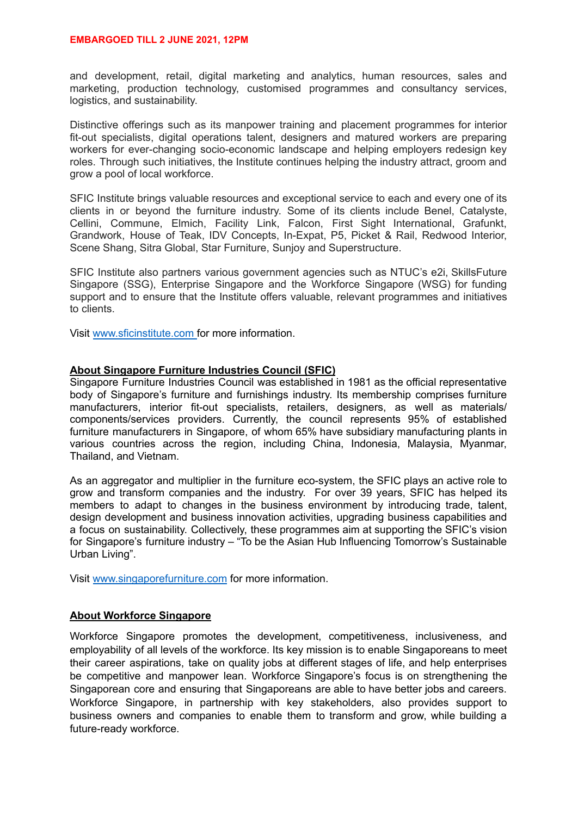and development, retail, digital marketing and analytics, human resources, sales and marketing, production technology, customised programmes and consultancy services, logistics, and sustainability.

Distinctive offerings such as its manpower training and placement programmes for interior fit-out specialists, digital operations talent, designers and matured workers are preparing workers for ever-changing socio-economic landscape and helping employers redesign key roles. Through such initiatives, the Institute continues helping the industry attract, groom and grow a pool of local workforce.

SFIC Institute brings valuable resources and exceptional service to each and every one of its clients in or beyond the furniture industry. Some of its clients include Benel, Catalyste, Cellini, Commune, Elmich, Facility Link, Falcon, First Sight International, Grafunkt, Grandwork, House of Teak, IDV Concepts, In-Expat, P5, Picket & Rail, Redwood Interior, Scene Shang, Sitra Global, Star Furniture, Sunjoy and Superstructure.

SFIC Institute also partners various government agencies such as NTUC's e2i, SkillsFuture Singapore (SSG), Enterprise Singapore and the Workforce Singapore (WSG) for funding support and to ensure that the Institute offers valuable, relevant programmes and initiatives to clients.

Visit www.sficinstitute.com for more information.

#### **About Singapore Furniture Industries Council (SFIC)**

Singapore Furniture Industries Council was established in 1981 as the official representative body of Singapore's furniture and furnishings industry. Its membership comprises furniture manufacturers, interior fit-out specialists, retailers, designers, as well as materials/ components/services providers. Currently, the council represents 95% of established furniture manufacturers in Singapore, of whom 65% have subsidiary manufacturing plants in various countries across the region, including China, Indonesia, Malaysia, Myanmar, Thailand, and Vietnam.

As an aggregator and multiplier in the furniture eco-system, the SFIC plays an active role to grow and transform companies and the industry. For over 39 years, SFIC has helped its members to adapt to changes in the business environment by introducing trade, talent, design development and business innovation activities, upgrading business capabilities and a focus on sustainability. Collectively, these programmes aim at supporting the SFIC's vision for Singapore's furniture industry – "To be the Asian Hub Influencing Tomorrow's Sustainable Urban Living".

Visit www.singaporefurniture.com for more information.

## **About Workforce Singapore**

Workforce Singapore promotes the development, competitiveness, inclusiveness, and employability of all levels of the workforce. Its key mission is to enable Singaporeans to meet their career aspirations, take on quality jobs at different stages of life, and help enterprises be competitive and manpower lean. Workforce Singapore's focus is on strengthening the Singaporean core and ensuring that Singaporeans are able to have better jobs and careers. Workforce Singapore, in partnership with key stakeholders, also provides support to business owners and companies to enable them to transform and grow, while building a future-ready workforce.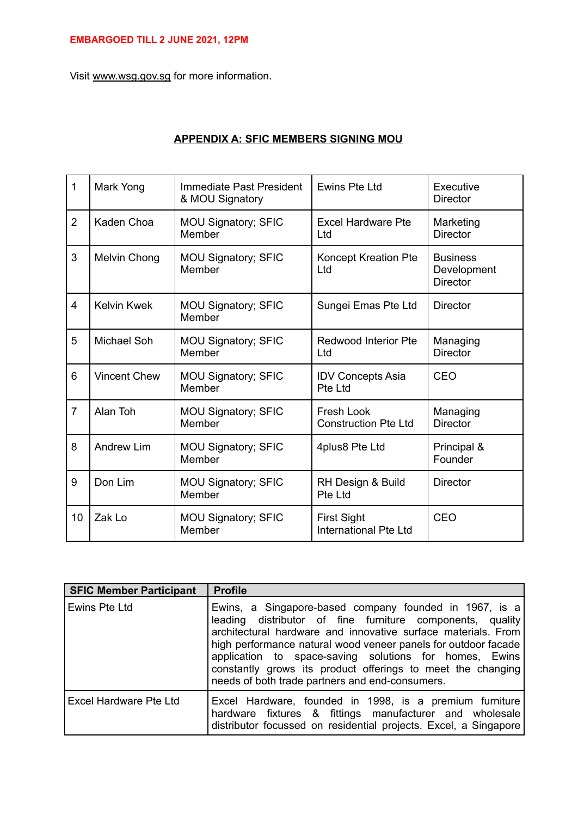Visit www.wsg.gov.sg for more information.

| 1              | Mark Yong           | Immediate Past President<br>& MOU Signatory | Ewins Pte Ltd                                      | Executive<br><b>Director</b>                      |
|----------------|---------------------|---------------------------------------------|----------------------------------------------------|---------------------------------------------------|
| $\overline{2}$ | Kaden Choa          | <b>MOU Signatory; SFIC</b><br>Member        | <b>Excel Hardware Pte</b><br>Ltd                   | Marketing<br><b>Director</b>                      |
| 3              | Melvin Chong        | <b>MOU Signatory; SFIC</b><br>Member        | Koncept Kreation Pte<br>Ltd                        | <b>Business</b><br>Development<br><b>Director</b> |
| $\overline{4}$ | <b>Kelvin Kwek</b>  | MOU Signatory; SFIC<br>Member               | Sungei Emas Pte Ltd                                | <b>Director</b>                                   |
| 5              | <b>Michael Soh</b>  | <b>MOU Signatory; SFIC</b><br>Member        | <b>Redwood Interior Pte</b><br>Ltd                 | Managing<br><b>Director</b>                       |
| 6              | <b>Vincent Chew</b> | MOU Signatory; SFIC<br>Member               | <b>IDV Concepts Asia</b><br>Pte Ltd                | CEO                                               |
| $\overline{7}$ | Alan Toh            | <b>MOU Signatory; SFIC</b><br>Member        | Fresh Look<br><b>Construction Pte Ltd</b>          | Managing<br><b>Director</b>                       |
| 8              | <b>Andrew Lim</b>   | MOU Signatory; SFIC<br>Member               | 4plus8 Pte Ltd                                     | Principal &<br>Founder                            |
| 9              | Don Lim             | <b>MOU Signatory; SFIC</b><br>Member        | RH Design & Build<br>Pte Ltd                       | <b>Director</b>                                   |
| 10             | Zak Lo              | MOU Signatory; SFIC<br>Member               | <b>First Sight</b><br><b>International Pte Ltd</b> | CEO                                               |

# **APPENDIX A: SFIC MEMBERS SIGNING MOU**

| <b>SFIC Member Participant</b> | <b>Profile</b>                                                                                                                                                                                                                                                                                                                                                                                                                     |
|--------------------------------|------------------------------------------------------------------------------------------------------------------------------------------------------------------------------------------------------------------------------------------------------------------------------------------------------------------------------------------------------------------------------------------------------------------------------------|
| Ewins Pte Ltd                  | Ewins, a Singapore-based company founded in 1967, is a<br>leading distributor of fine furniture components, quality<br>architectural hardware and innovative surface materials. From<br>high performance natural wood veneer panels for outdoor facade<br>application to space-saving solutions for homes, Ewins<br>constantly grows its product offerings to meet the changing<br>needs of both trade partners and end-consumers. |
| Excel Hardware Pte Ltd         | Excel Hardware, founded in 1998, is a premium furniture<br>hardware fixtures & fittings manufacturer and wholesale<br>distributor focussed on residential projects. Excel, a Singapore                                                                                                                                                                                                                                             |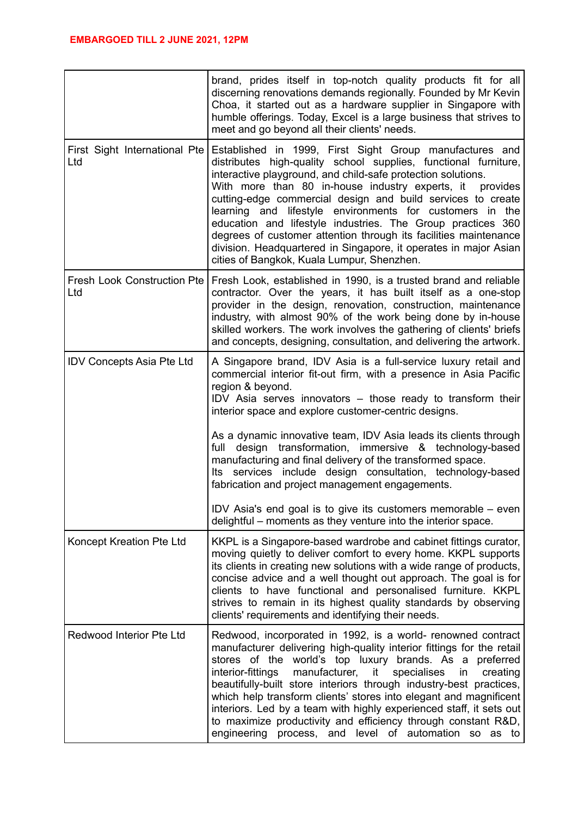|                                           | brand, prides itself in top-notch quality products fit for all<br>discerning renovations demands regionally. Founded by Mr Kevin<br>Choa, it started out as a hardware supplier in Singapore with<br>humble offerings. Today, Excel is a large business that strives to<br>meet and go beyond all their clients' needs.                                                                                                                                                                                                                                                                                                                   |
|-------------------------------------------|-------------------------------------------------------------------------------------------------------------------------------------------------------------------------------------------------------------------------------------------------------------------------------------------------------------------------------------------------------------------------------------------------------------------------------------------------------------------------------------------------------------------------------------------------------------------------------------------------------------------------------------------|
| First Sight International Pte<br>Ltd      | Established in 1999, First Sight Group manufactures and<br>distributes high-quality school supplies, functional furniture,<br>interactive playground, and child-safe protection solutions.<br>With more than 80 in-house industry experts, it<br>provides<br>cutting-edge commercial design and build services to create<br>learning and lifestyle environments for customers in the<br>education and lifestyle industries. The Group practices 360<br>degrees of customer attention through its facilities maintenance<br>division. Headquartered in Singapore, it operates in major Asian<br>cities of Bangkok, Kuala Lumpur, Shenzhen. |
| <b>Fresh Look Construction Pte</b><br>Ltd | Fresh Look, established in 1990, is a trusted brand and reliable<br>contractor. Over the years, it has built itself as a one-stop<br>provider in the design, renovation, construction, maintenance<br>industry, with almost 90% of the work being done by in-house<br>skilled workers. The work involves the gathering of clients' briefs<br>and concepts, designing, consultation, and delivering the artwork.                                                                                                                                                                                                                           |
| <b>IDV Concepts Asia Pte Ltd</b>          | A Singapore brand, IDV Asia is a full-service luxury retail and<br>commercial interior fit-out firm, with a presence in Asia Pacific<br>region & beyond.<br>IDV Asia serves innovators – those ready to transform their<br>interior space and explore customer-centric designs.<br>As a dynamic innovative team, IDV Asia leads its clients through<br>transformation, immersive & technology-based<br>full design<br>manufacturing and final delivery of the transformed space.<br>Its services include design consultation, technology-based<br>fabrication and project management engagements.                                         |
|                                           | IDV Asia's end goal is to give its customers memorable – even<br>delightful – moments as they venture into the interior space.                                                                                                                                                                                                                                                                                                                                                                                                                                                                                                            |
| Koncept Kreation Pte Ltd                  | KKPL is a Singapore-based wardrobe and cabinet fittings curator,<br>moving quietly to deliver comfort to every home. KKPL supports<br>its clients in creating new solutions with a wide range of products,<br>concise advice and a well thought out approach. The goal is for<br>clients to have functional and personalised furniture. KKPL<br>strives to remain in its highest quality standards by observing<br>clients' requirements and identifying their needs.                                                                                                                                                                     |
| Redwood Interior Pte Ltd                  | Redwood, incorporated in 1992, is a world- renowned contract<br>manufacturer delivering high-quality interior fittings for the retail<br>stores of the world's top luxury brands. As a preferred<br>interior-fittings<br>manufacturer,<br>it<br>specialises<br>creating<br>in<br>beautifully-built store interiors through industry-best practices,<br>which help transform clients' stores into elegant and magnificent<br>interiors. Led by a team with highly experienced staff, it sets out<br>to maximize productivity and efficiency through constant R&D,<br>engineering process, and level of automation so as to                 |